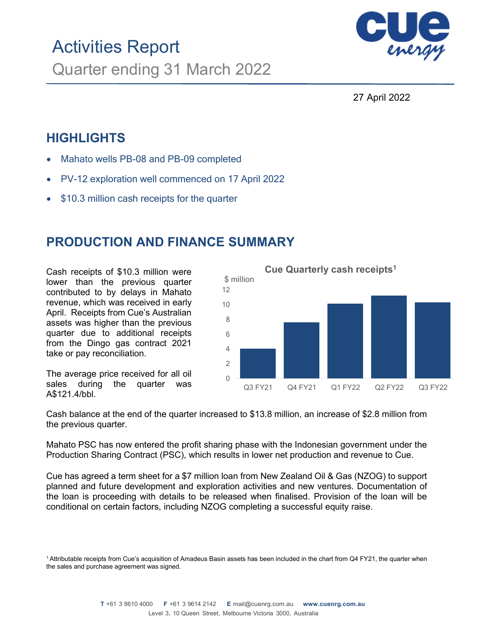

27 April 2022

# **HIGHLIGHTS**

- Mahato wells PB-08 and PB-09 completed
- PV-12 exploration well commenced on 17 April 2022
- \$10.3 million cash receipts for the quarter

# **PRODUCTION AND FINANCE SUMMARY**

Cash receipts of \$10.3 million were lower than the previous quarter contributed to by delays in Mahato revenue, which was received in early April. Receipts from Cue's Australian assets was higher than the previous quarter due to additional receipts from the Dingo gas contract 2021 take or pay reconciliation.

The average price received for all oil sales during the quarter was A\$121.4/bbl.



Cash balance at the end of the quarter increased to \$13.8 million, an increase of \$2.8 million from the previous quarter.

Mahato PSC has now entered the profit sharing phase with the Indonesian government under the Production Sharing Contract (PSC), which results in lower net production and revenue to Cue.

Cue has agreed a term sheet for a \$7 million loan from New Zealand Oil & Gas (NZOG) to support planned and future development and exploration activities and new ventures. Documentation of the loan is proceeding with details to be released when finalised. Provision of the loan will be conditional on certain factors, including NZOG completing a successful equity raise.

<sup>&</sup>lt;sup>1.</sup>Attributable receipts from Cue's acquisition of Amadeus Basin assets has been included in the chart from Q4 FY21, the quarter when the sales and purchase agreement was signed.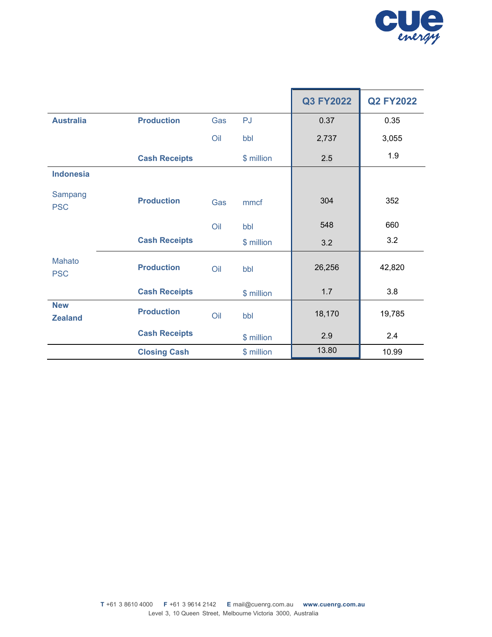

|                              |                      |     |            | <b>Q3 FY2022</b> | <b>Q2 FY2022</b> |
|------------------------------|----------------------|-----|------------|------------------|------------------|
| <b>Australia</b>             | <b>Production</b>    | Gas | PJ         | 0.37             | 0.35             |
|                              |                      | Oil | bbl        | 2,737            | 3,055            |
|                              | <b>Cash Receipts</b> |     | \$ million | 2.5              | 1.9              |
| <b>Indonesia</b>             |                      |     |            |                  |                  |
| Sampang<br><b>PSC</b>        | <b>Production</b>    | Gas | mmcf       | 304              | 352              |
|                              |                      | Oil | bbl        | 548              | 660              |
|                              | <b>Cash Receipts</b> |     | \$ million | 3.2              | 3.2              |
| <b>Mahato</b><br><b>PSC</b>  | <b>Production</b>    | Oil | bbl        | 26,256           | 42,820           |
|                              | <b>Cash Receipts</b> |     | \$ million | 1.7              | 3.8              |
| <b>New</b><br><b>Zealand</b> | <b>Production</b>    | Oil | bbl        | 18,170           | 19,785           |
|                              | <b>Cash Receipts</b> |     | \$ million | 2.9              | 2.4              |
|                              | <b>Closing Cash</b>  |     | \$ million | 13.80            | 10.99            |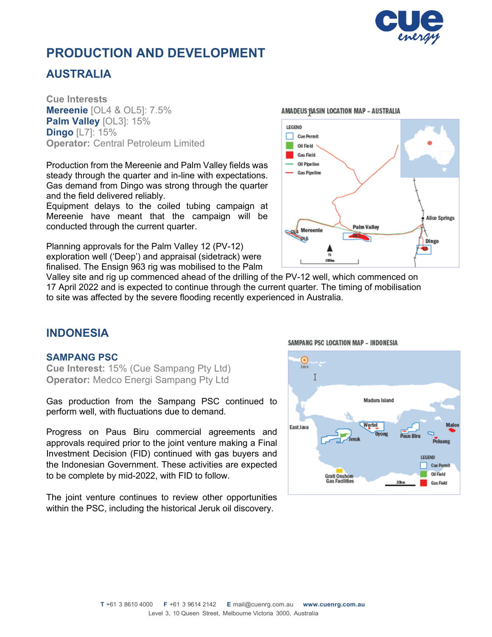

# **PRODUCTION AND DEVELOPMENT**

## **AUSTRALIA**

**Cue Interests Mereenie** [OL4 & OL5]: 7.5% **Palm Valley** [OL3]: 15% **Dingo** [L7]: 15% **Operator:** Central Petroleum Limited

Production from the Mereenie and Palm Valley fields was steady through the quarter and in-line with expectations. Gas demand from Dingo was strong through the quarter and the field delivered reliably.

Equipment delays to the coiled tubing campaign at Mereenie have meant that the campaign will be conducted through the current quarter.

Planning approvals for the Palm Valley 12 (PV-12) exploration well ('Deep') and appraisal (sidetrack) were finalised. The Ensign 963 rig was mobilised to the Palm

#### AMADEUS BASIN LOCATION MAP - AUSTRALIA



Valley site and rig up commenced ahead of the drilling of the PV-12 well, which commenced on 17 April 2022 and is expected to continue through the current quarter. The timing of mobilisation to site was affected by the severe flooding recently experienced in Australia.

## **INDONESIA**

### **SAMPANG PSC**

**Cue Interest:** 15% (Cue Sampang Pty Ltd) **Operator:** Medco Energi Sampang Pty Ltd

Gas production from the Sampang PSC continued to perform well, with fluctuations due to demand.

Progress on Paus Biru commercial agreements and approvals required prior to the joint venture making a Final Investment Decision (FID) continued with gas buyers and the Indonesian Government. These activities are expected to be complete by mid-2022, with FID to follow.

The joint venture continues to review other opportunities within the PSC, including the historical Jeruk oil discovery.

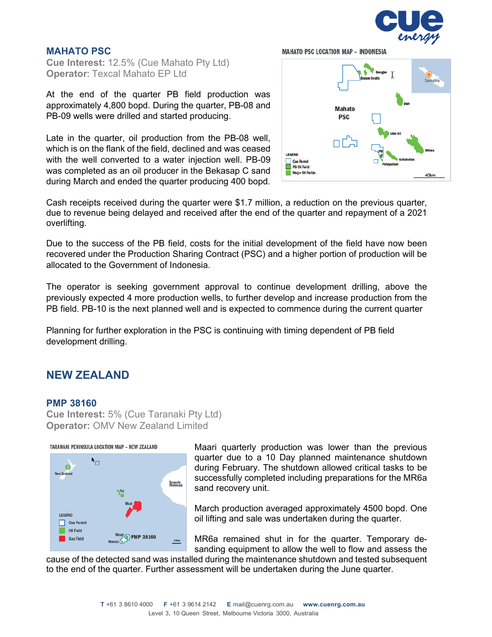

#### **MAHATO PSC**

**Cue Interest:** 12.5% (Cue Mahato Pty Ltd) **Operator**: Texcal Mahato EP Ltd

At the end of the quarter PB field production was approximately 4,800 bopd. During the quarter, PB-08 and PB-09 wells were drilled and started producing.

Late in the quarter, oil production from the PB-08 well, which is on the flank of the field, declined and was ceased with the well converted to a water injection well. PB-09 was completed as an oil producer in the Bekasap C sand during March and ended the quarter producing 400 bopd.





Cash receipts received during the quarter were \$1.7 million, a reduction on the previous quarter, due to revenue being delayed and received after the end of the quarter and repayment of a 2021 overlifting.

Due to the success of the PB field, costs for the initial development of the field have now been recovered under the Production Sharing Contract (PSC) and a higher portion of production will be allocated to the Government of Indonesia.

The operator is seeking government approval to continue development drilling, above the previously expected 4 more production wells, to further develop and increase production from the PB field. PB-10 is the next planned well and is expected to commence during the current quarter

Planning for further exploration in the PSC is continuing with timing dependent of PB field development drilling.

## **NEW ZEALAND**

#### **PMP 38160**

**Cue Interest:** 5% (Cue Taranaki Pty Ltd) **Operator:** OMV New Zealand Limited

TARANAKI PENINSULA LOCATION MAP - NEW ZEALAND



Maari quarterly production was lower than the previous quarter due to a 10 Day planned maintenance shutdown during February. The shutdown allowed critical tasks to be successfully completed including preparations for the MR6a sand recovery unit.

March production averaged approximately 4500 bopd. One oil lifting and sale was undertaken during the quarter.

MR6a remained shut in for the quarter. Temporary desanding equipment to allow the well to flow and assess the

cause of the detected sand was installed during the maintenance shutdown and tested subsequent to the end of the quarter. Further assessment will be undertaken during the June quarter.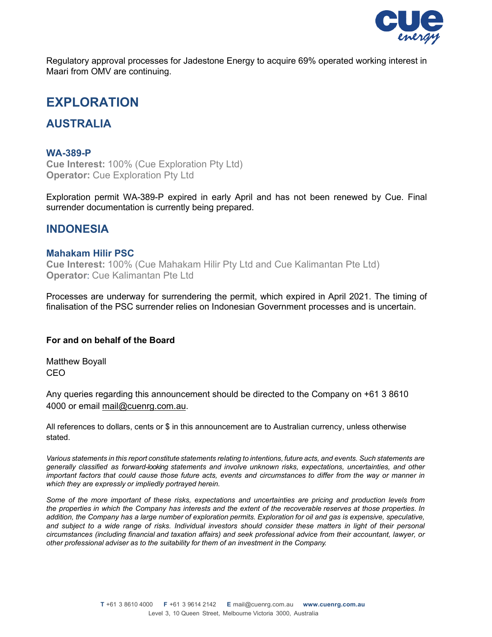

Regulatory approval processes for Jadestone Energy to acquire 69% operated working interest in Maari from OMV are continuing.

## **EXPLORATION**

## **AUSTRALIA**

#### **WA-389-P**

**Cue Interest:** 100% (Cue Exploration Pty Ltd) **Operator:** Cue Exploration Pty Ltd

Exploration permit WA-389-P expired in early April and has not been renewed by Cue. Final surrender documentation is currently being prepared.

### **INDONESIA**

#### **Mahakam Hilir PSC**

**Cue Interest:** 100% (Cue Mahakam Hilir Pty Ltd and Cue Kalimantan Pte Ltd) **Operator**: Cue Kalimantan Pte Ltd

Processes are underway for surrendering the permit, which expired in April 2021. The timing of finalisation of the PSC surrender relies on Indonesian Government processes and is uncertain.

#### **For and on behalf of the Board**

Matthew Boyall CEO

Any queries regarding this announcement should be directed to the Company on +61 3 8610 4000 or email mail@cuenrg.com.au.

All references to dollars, cents or \$ in this announcement are to Australian currency, unless otherwise stated.

*Various statements in this report constitute statements relating to intentions, future acts, and events. Such statements are generally classified as forward-looking statements and involve unknown risks, expectations, uncertainties, and other important factors that could cause those future acts, events and circumstances to differ from the way or manner in which they are expressly or impliedly portrayed herein.* 

*Some of the more important of these risks, expectations and uncertainties are pricing and production levels from the properties in which the Company has interests and the extent of the recoverable reserves at those properties. In*  addition, the Company has a large number of exploration permits. Exploration for oil and gas is expensive, speculative, and subject to a wide range of risks. Individual investors should consider these matters in light of their personal *circumstances (including financial and taxation affairs) and seek professional advice from their accountant, lawyer, or other professional adviser as to the suitability for them of an investment in the Company.*